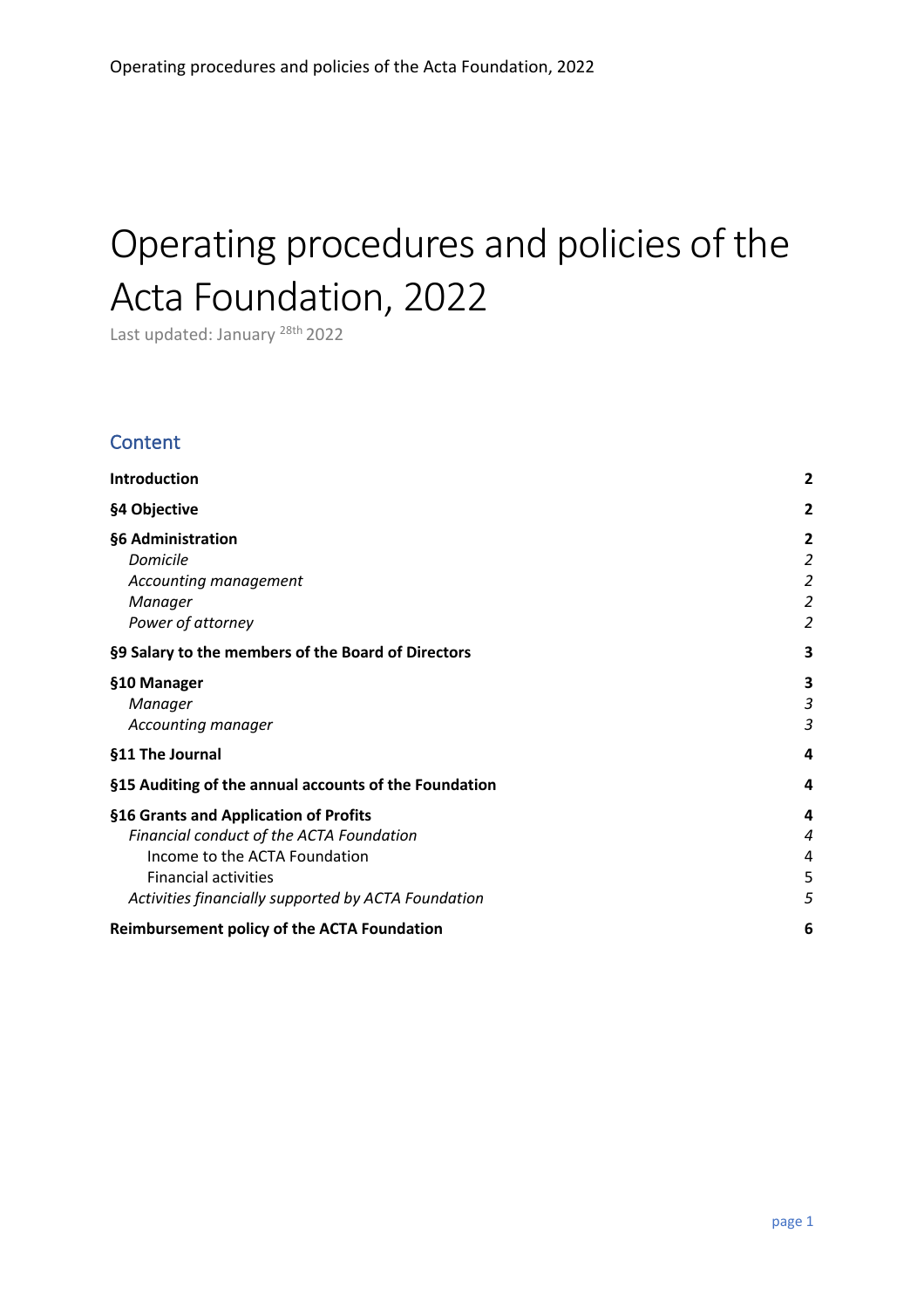# Operating procedures and policies of the Acta Foundation, 2022

Last updated: January <sup>28th</sup> 2022

## **Content**

| Introduction                                          | 2              |
|-------------------------------------------------------|----------------|
| §4 Objective                                          | 2              |
| §6 Administration                                     | 2              |
| Domicile                                              | 2              |
| Accounting management                                 | $\overline{a}$ |
| Manager                                               | $\overline{a}$ |
| Power of attorney                                     | 2              |
| §9 Salary to the members of the Board of Directors    | 3              |
| §10 Manager                                           | 3              |
| Manager                                               | 3              |
| Accounting manager                                    | з              |
| §11 The Journal                                       | 4              |
| §15 Auditing of the annual accounts of the Foundation | 4              |
| §16 Grants and Application of Profits                 | 4              |
| Financial conduct of the ACTA Foundation              | 4              |
| Income to the ACTA Foundation                         | 4              |
| <b>Financial activities</b>                           | 5              |
| Activities financially supported by ACTA Foundation   | 5              |
| <b>Reimbursement policy of the ACTA Foundation</b>    | 6              |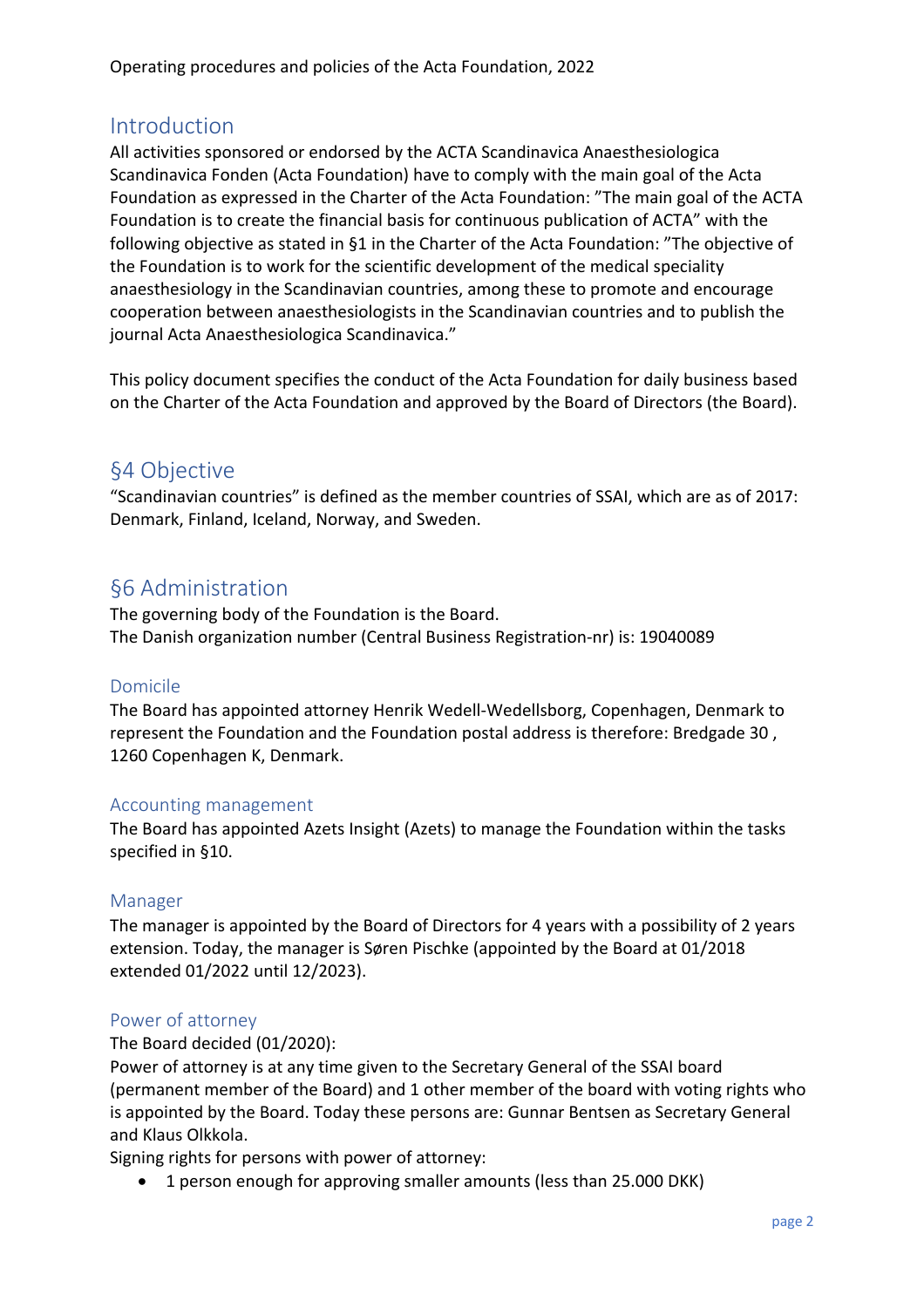## Introduction

All activities sponsored or endorsed by the ACTA Scandinavica Anaesthesiologica Scandinavica Fonden (Acta Foundation) have to comply with the main goal of the Acta Foundation as expressed in the Charter of the Acta Foundation: "The main goal of the ACTA Foundation is to create the financial basis for continuous publication of ACTA" with the following objective as stated in §1 in the Charter of the Acta Foundation: "The objective of the Foundation is to work for the scientific development of the medical speciality anaesthesiology in the Scandinavian countries, among these to promote and encourage cooperation between anaesthesiologists in the Scandinavian countries and to publish the journal Acta Anaesthesiologica Scandinavica."

This policy document specifies the conduct of the Acta Foundation for daily business based on the Charter of the Acta Foundation and approved by the Board of Directors (the Board).

## §4 Objective

"Scandinavian countries" is defined as the member countries of SSAI, which are as of 2017: Denmark, Finland, Iceland, Norway, and Sweden.

# §6 Administration

The governing body of the Foundation is the Board. The Danish organization number (Central Business Registration-nr) is: 19040089

#### Domicile

The Board has appointed attorney Henrik Wedell-Wedellsborg, Copenhagen, Denmark to represent the Foundation and the Foundation postal address is therefore: Bredgade 30 , 1260 Copenhagen K, Denmark.

#### Accounting management

The Board has appointed Azets Insight (Azets) to manage the Foundation within the tasks specified in §10.

#### Manager

The manager is appointed by the Board of Directors for 4 years with a possibility of 2 years extension. Today, the manager is Søren Pischke (appointed by the Board at 01/2018 extended 01/2022 until 12/2023).

## Power of attorney

The Board decided (01/2020):

Power of attorney is at any time given to the Secretary General of the SSAI board (permanent member of the Board) and 1 other member of the board with voting rights who is appointed by the Board. Today these persons are: Gunnar Bentsen as Secretary General and Klaus Olkkola.

Signing rights for persons with power of attorney:

• 1 person enough for approving smaller amounts (less than 25.000 DKK)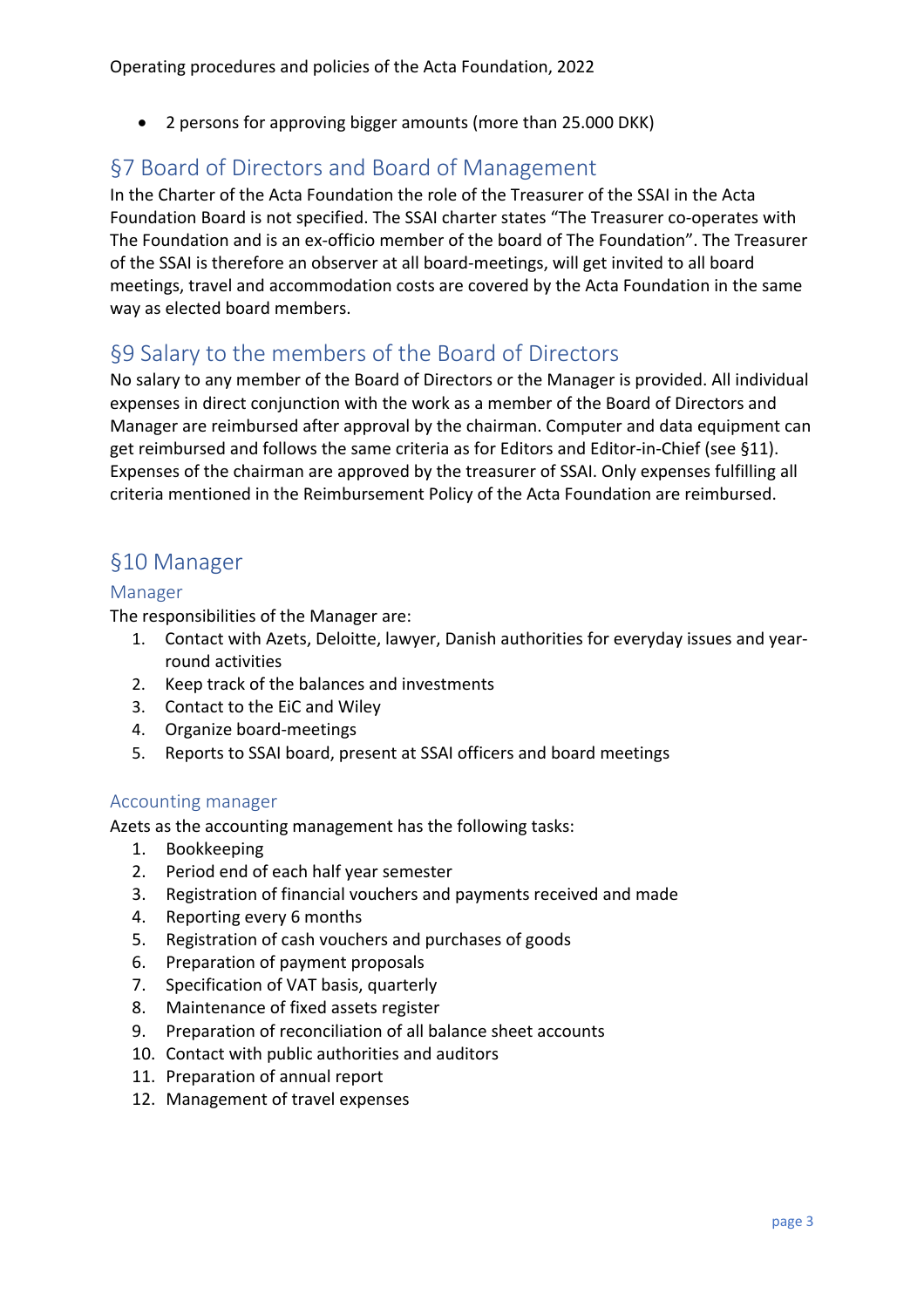• 2 persons for approving bigger amounts (more than 25.000 DKK)

## §7 Board of Directors and Board of Management

In the Charter of the Acta Foundation the role of the Treasurer of the SSAI in the Acta Foundation Board is not specified. The SSAI charter states "The Treasurer co-operates with The Foundation and is an ex-officio member of the board of The Foundation". The Treasurer of the SSAI is therefore an observer at all board-meetings, will get invited to all board meetings, travel and accommodation costs are covered by the Acta Foundation in the same way as elected board members.

## §9 Salary to the members of the Board of Directors

No salary to any member of the Board of Directors or the Manager is provided. All individual expenses in direct conjunction with the work as a member of the Board of Directors and Manager are reimbursed after approval by the chairman. Computer and data equipment can get reimbursed and follows the same criteria as for Editors and Editor-in-Chief (see §11). Expenses of the chairman are approved by the treasurer of SSAI. Only expenses fulfilling all criteria mentioned in the Reimbursement Policy of the Acta Foundation are reimbursed.

## §10 Manager

#### Manager

The responsibilities of the Manager are:

- 1. Contact with Azets, Deloitte, lawyer, Danish authorities for everyday issues and yearround activities
- 2. Keep track of the balances and investments
- 3. Contact to the EiC and Wiley
- 4. Organize board-meetings
- 5. Reports to SSAI board, present at SSAI officers and board meetings

#### Accounting manager

Azets as the accounting management has the following tasks:

- 1. Bookkeeping
- 2. Period end of each half year semester
- 3. Registration of financial vouchers and payments received and made
- 4. Reporting every 6 months
- 5. Registration of cash vouchers and purchases of goods
- 6. Preparation of payment proposals
- 7. Specification of VAT basis, quarterly
- 8. Maintenance of fixed assets register
- 9. Preparation of reconciliation of all balance sheet accounts
- 10. Contact with public authorities and auditors
- 11. Preparation of annual report
- 12. Management of travel expenses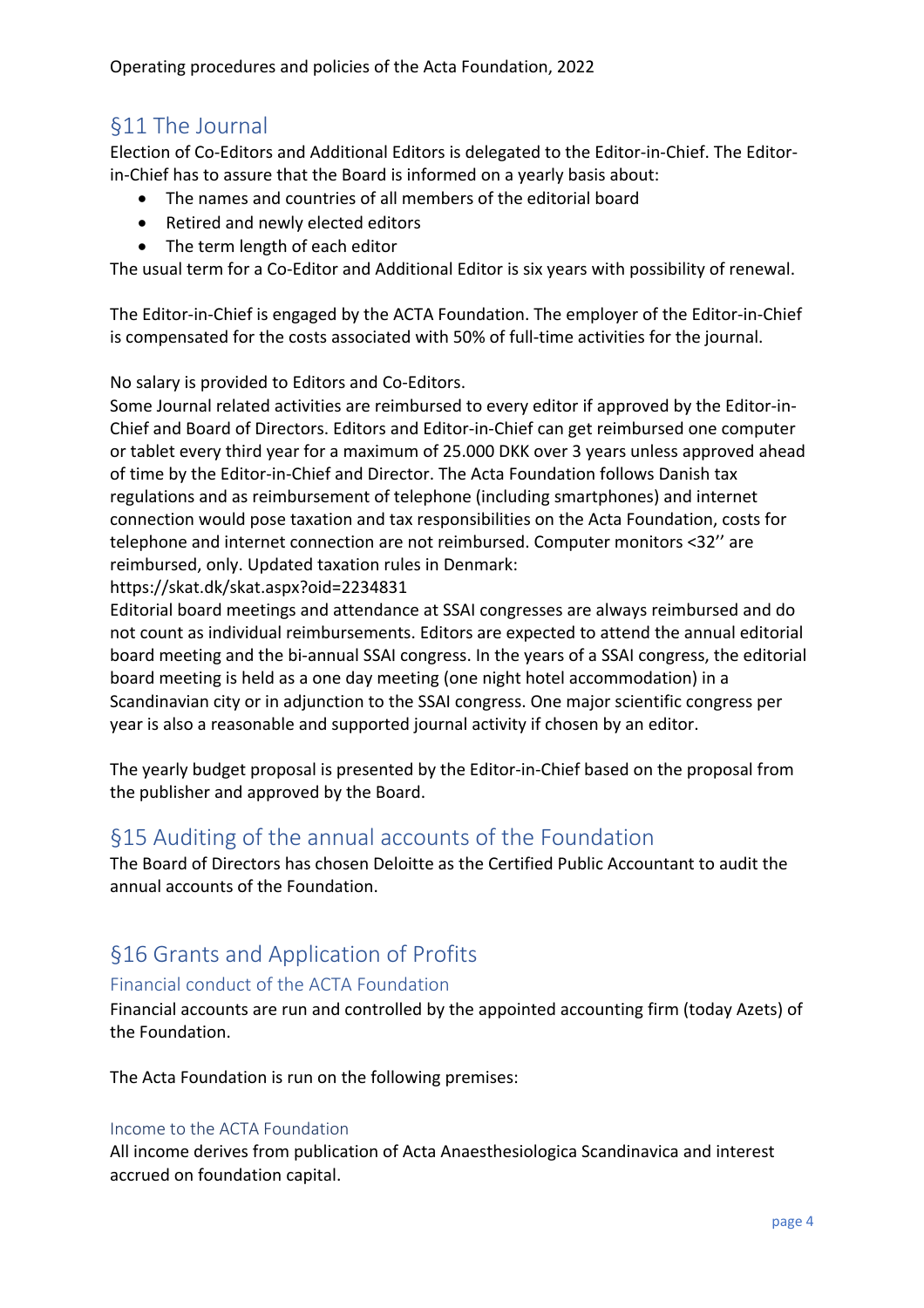# §11 The Journal

Election of Co-Editors and Additional Editors is delegated to the Editor-in-Chief. The Editorin-Chief has to assure that the Board is informed on a yearly basis about:

- The names and countries of all members of the editorial board
- Retired and newly elected editors
- The term length of each editor

The usual term for a Co-Editor and Additional Editor is six years with possibility of renewal.

The Editor-in-Chief is engaged by the ACTA Foundation. The employer of the Editor-in-Chief is compensated for the costs associated with 50% of full-time activities for the journal.

No salary is provided to Editors and Co-Editors.

Some Journal related activities are reimbursed to every editor if approved by the Editor-in-Chief and Board of Directors. Editors and Editor-in-Chief can get reimbursed one computer or tablet every third year for a maximum of 25.000 DKK over 3 years unless approved ahead of time by the Editor-in-Chief and Director. The Acta Foundation follows Danish tax regulations and as reimbursement of telephone (including smartphones) and internet connection would pose taxation and tax responsibilities on the Acta Foundation, costs for telephone and internet connection are not reimbursed. Computer monitors <32'' are reimbursed, only. Updated taxation rules in Denmark:

https://skat.dk/skat.aspx?oid=2234831

Editorial board meetings and attendance at SSAI congresses are always reimbursed and do not count as individual reimbursements. Editors are expected to attend the annual editorial board meeting and the bi-annual SSAI congress. In the years of a SSAI congress, the editorial board meeting is held as a one day meeting (one night hotel accommodation) in a Scandinavian city or in adjunction to the SSAI congress. One major scientific congress per year is also a reasonable and supported journal activity if chosen by an editor.

The yearly budget proposal is presented by the Editor-in-Chief based on the proposal from the publisher and approved by the Board.

# §15 Auditing of the annual accounts of the Foundation

The Board of Directors has chosen Deloitte as the Certified Public Accountant to audit the annual accounts of the Foundation.

# §16 Grants and Application of Profits

## Financial conduct of the ACTA Foundation

Financial accounts are run and controlled by the appointed accounting firm (today Azets) of the Foundation.

The Acta Foundation is run on the following premises:

#### Income to the ACTA Foundation

All income derives from publication of Acta Anaesthesiologica Scandinavica and interest accrued on foundation capital.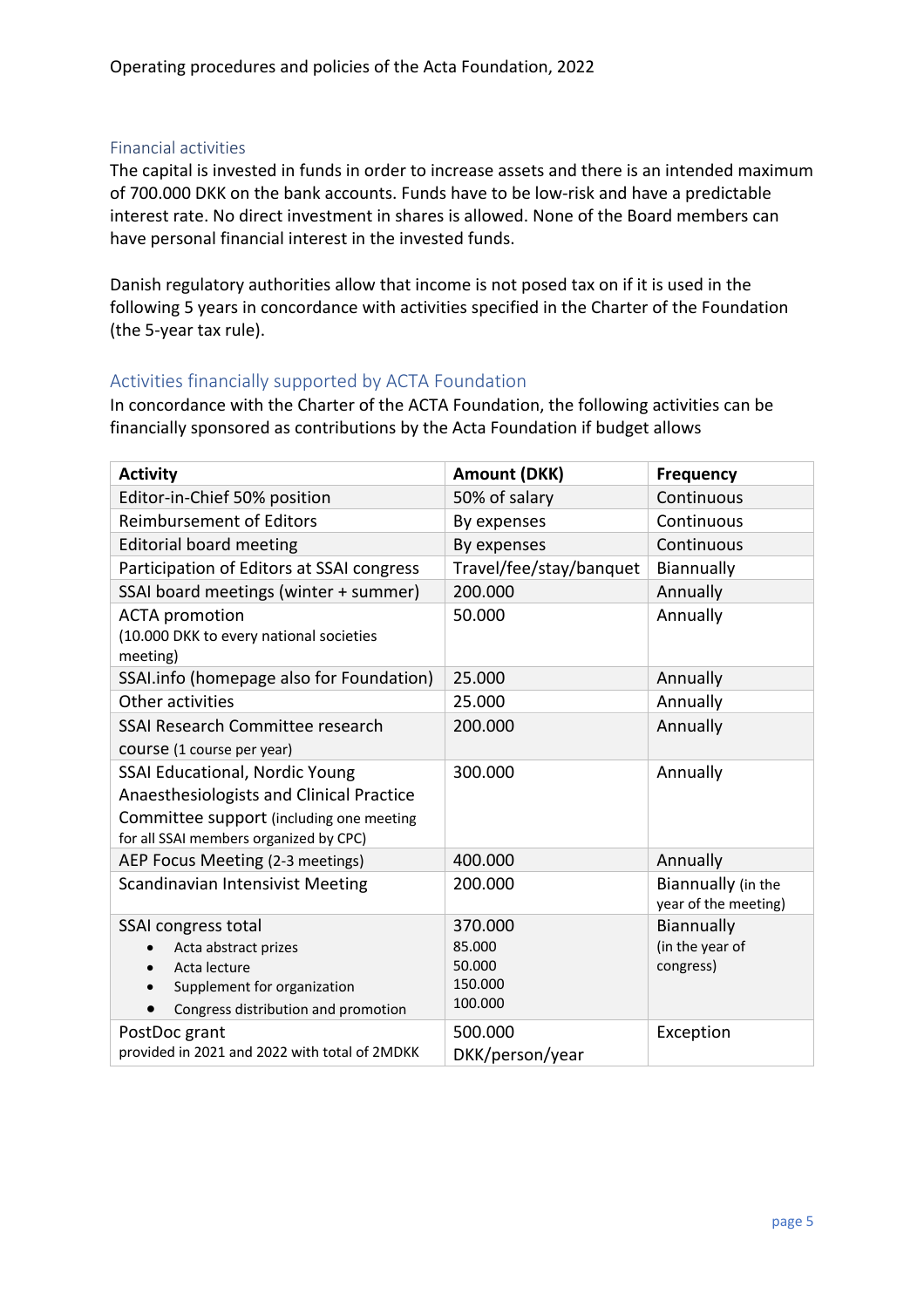#### Financial activities

The capital is invested in funds in order to increase assets and there is an intended maximum of 700.000 DKK on the bank accounts. Funds have to be low-risk and have a predictable interest rate. No direct investment in shares is allowed. None of the Board members can have personal financial interest in the invested funds.

Danish regulatory authorities allow that income is not posed tax on if it is used in the following 5 years in concordance with activities specified in the Charter of the Foundation (the 5-year tax rule).

#### Activities financially supported by ACTA Foundation

In concordance with the Charter of the ACTA Foundation, the following activities can be financially sponsored as contributions by the Acta Foundation if budget allows

| <b>Activity</b>                                                                                                                   | <b>Amount (DKK)</b>                               | <b>Frequency</b>                           |
|-----------------------------------------------------------------------------------------------------------------------------------|---------------------------------------------------|--------------------------------------------|
| Editor-in-Chief 50% position                                                                                                      | 50% of salary                                     | Continuous                                 |
| <b>Reimbursement of Editors</b>                                                                                                   | By expenses                                       | Continuous                                 |
| <b>Editorial board meeting</b>                                                                                                    | By expenses                                       | Continuous                                 |
| Participation of Editors at SSAI congress                                                                                         | Travel/fee/stay/banquet                           | Biannually                                 |
| SSAI board meetings (winter + summer)                                                                                             | 200.000                                           | Annually                                   |
| <b>ACTA</b> promotion<br>(10.000 DKK to every national societies<br>meeting)                                                      | 50.000                                            | Annually                                   |
| SSAI.info (homepage also for Foundation)                                                                                          | 25.000                                            | Annually                                   |
| Other activities                                                                                                                  | 25.000                                            | Annually                                   |
| SSAI Research Committee research                                                                                                  | 200.000                                           | Annually                                   |
| COUISE (1 course per year)                                                                                                        |                                                   |                                            |
| SSAI Educational, Nordic Young                                                                                                    | 300.000                                           | Annually                                   |
| Anaesthesiologists and Clinical Practice                                                                                          |                                                   |                                            |
| Committee support (including one meeting<br>for all SSAI members organized by CPC)                                                |                                                   |                                            |
| AEP Focus Meeting (2-3 meetings)                                                                                                  | 400.000                                           | Annually                                   |
| <b>Scandinavian Intensivist Meeting</b>                                                                                           | 200.000                                           | Biannually (in the<br>year of the meeting) |
| SSAI congress total<br>Acta abstract prizes<br>Acta lecture<br>Supplement for organization<br>Congress distribution and promotion | 370.000<br>85.000<br>50.000<br>150.000<br>100.000 | Biannually<br>(in the year of<br>congress) |
| PostDoc grant<br>provided in 2021 and 2022 with total of 2MDKK                                                                    | 500.000<br>DKK/person/year                        | Exception                                  |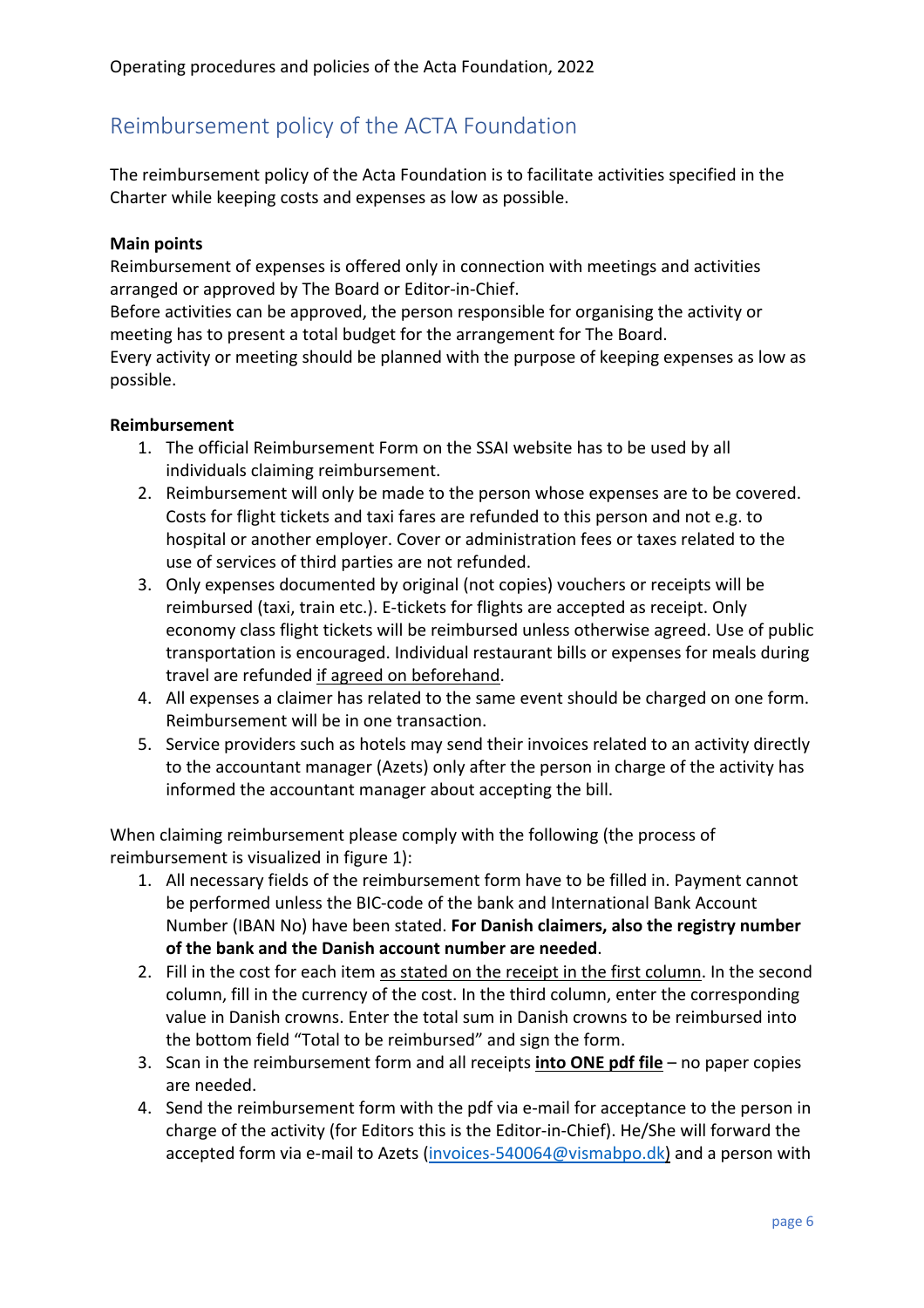# Reimbursement policy of the ACTA Foundation

The reimbursement policy of the Acta Foundation is to facilitate activities specified in the Charter while keeping costs and expenses as low as possible.

#### **Main points**

Reimbursement of expenses is offered only in connection with meetings and activities arranged or approved by The Board or Editor-in-Chief.

Before activities can be approved, the person responsible for organising the activity or meeting has to present a total budget for the arrangement for The Board.

Every activity or meeting should be planned with the purpose of keeping expenses as low as possible.

#### **Reimbursement**

- 1. The official Reimbursement Form on the SSAI website has to be used by all individuals claiming reimbursement.
- 2. Reimbursement will only be made to the person whose expenses are to be covered. Costs for flight tickets and taxi fares are refunded to this person and not e.g. to hospital or another employer. Cover or administration fees or taxes related to the use of services of third parties are not refunded.
- 3. Only expenses documented by original (not copies) vouchers or receipts will be reimbursed (taxi, train etc.). E-tickets for flights are accepted as receipt. Only economy class flight tickets will be reimbursed unless otherwise agreed. Use of public transportation is encouraged. Individual restaurant bills or expenses for meals during travel are refunded if agreed on beforehand.
- 4. All expenses a claimer has related to the same event should be charged on one form. Reimbursement will be in one transaction.
- 5. Service providers such as hotels may send their invoices related to an activity directly to the accountant manager (Azets) only after the person in charge of the activity has informed the accountant manager about accepting the bill.

When claiming reimbursement please comply with the following (the process of reimbursement is visualized in figure 1):

- 1. All necessary fields of the reimbursement form have to be filled in. Payment cannot be performed unless the BIC-code of the bank and International Bank Account Number (IBAN No) have been stated. **For Danish claimers, also the registry number of the bank and the Danish account number are needed**.
- 2. Fill in the cost for each item as stated on the receipt in the first column. In the second column, fill in the currency of the cost. In the third column, enter the corresponding value in Danish crowns. Enter the total sum in Danish crowns to be reimbursed into the bottom field "Total to be reimbursed" and sign the form.
- 3. Scan in the reimbursement form and all receipts **into ONE pdf file** no paper copies are needed.
- 4. Send the reimbursement form with the pdf via e-mail for acceptance to the person in charge of the activity (for Editors this is the Editor-in-Chief). He/She will forward the accepted form via e-mail to Azets (invoices-540064@vismabpo.dk) and a person with